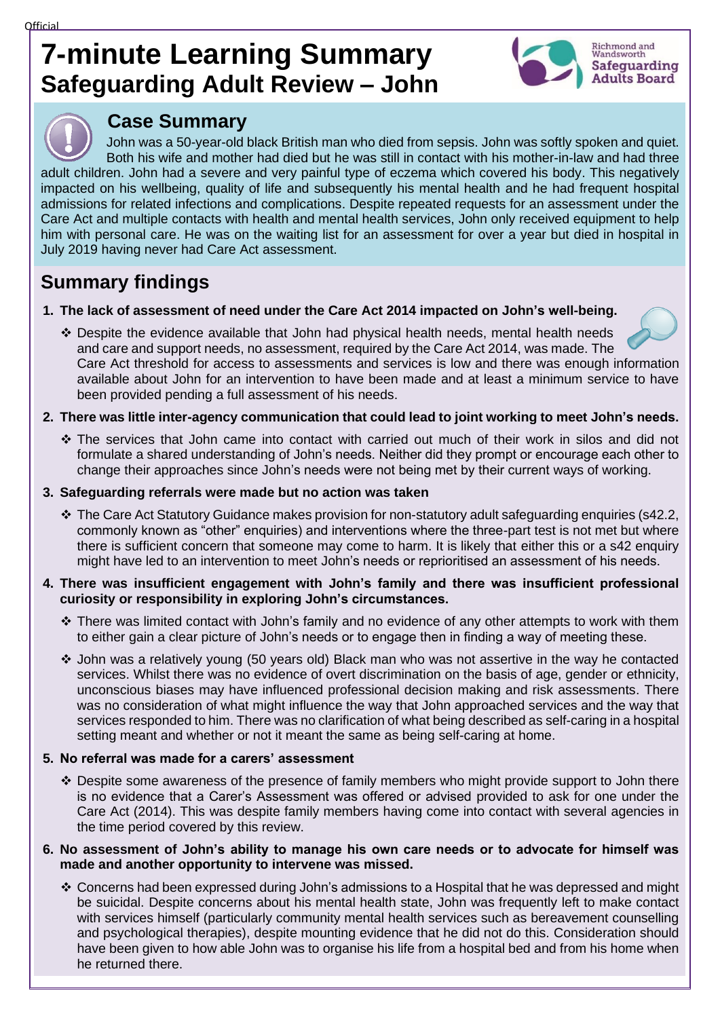# **7-minute Learning Summary Safeguarding Adult Review – John**





# **Case Summary**

John was a 50-year-old black British man who died from sepsis. John was softly spoken and quiet. Both his wife and mother had died but he was still in contact with his mother-in-law and had three adult children. John had a severe and very painful type of eczema which covered his body. This negatively impacted on his wellbeing, quality of life and subsequently his mental health and he had frequent hospital admissions for related infections and complications. Despite repeated requests for an assessment under the Care Act and multiple contacts with health and mental health services, John only received equipment to help him with personal care. He was on the waiting list for an assessment for over a year but died in hospital in July 2019 having never had Care Act assessment.

# **Summary findings**

- **1. The lack of assessment of need under the Care Act 2014 impacted on John's well-being.**
	- ❖ Despite the evidence available that John had physical health needs, mental health needs and care and support needs, no assessment, required by the Care Act 2014, was made. The Care Act threshold for access to assessments and services is low and there was enough information available about John for an intervention to have been made and at least a minimum service to have been provided pending a full assessment of his needs.
- **2. There was little inter-agency communication that could lead to joint working to meet John's needs.**
	- ❖ The services that John came into contact with carried out much of their work in silos and did not formulate a shared understanding of John's needs. Neither did they prompt or encourage each other to change their approaches since John's needs were not being met by their current ways of working.

### **3. Safeguarding referrals were made but no action was taken**

❖ The Care Act Statutory Guidance makes provision for non-statutory adult safeguarding enquiries (s42.2, commonly known as "other" enquiries) and interventions where the three-part test is not met but where there is sufficient concern that someone may come to harm. It is likely that either this or a s42 enquiry might have led to an intervention to meet John's needs or reprioritised an assessment of his needs.

#### **4. There was insufficient engagement with John's family and there was insufficient professional curiosity or responsibility in exploring John's circumstances.**

- ❖ There was limited contact with John's family and no evidence of any other attempts to work with them to either gain a clear picture of John's needs or to engage then in finding a way of meeting these.
- ❖ John was a relatively young (50 years old) Black man who was not assertive in the way he contacted services. Whilst there was no evidence of overt discrimination on the basis of age, gender or ethnicity, unconscious biases may have influenced professional decision making and risk assessments. There was no consideration of what might influence the way that John approached services and the way that services responded to him. There was no clarification of what being described as self-caring in a hospital setting meant and whether or not it meant the same as being self-caring at home.

## **5. No referral was made for a carers' assessment**

- ❖ Despite some awareness of the presence of family members who might provide support to John there is no evidence that a Carer's Assessment was offered or advised provided to ask for one under the Care Act (2014). This was despite family members having come into contact with several agencies in the time period covered by this review.
- **6. No assessment of John's ability to manage his own care needs or to advocate for himself was made and another opportunity to intervene was missed.**
	- ❖ Concerns had been expressed during John's admissions to a Hospital that he was depressed and might be suicidal. Despite concerns about his mental health state, John was frequently left to make contact with services himself (particularly community mental health services such as bereavement counselling and psychological therapies), despite mounting evidence that he did not do this. Consideration should have been given to how able John was to organise his life from a hospital bed and from his home when he returned there.